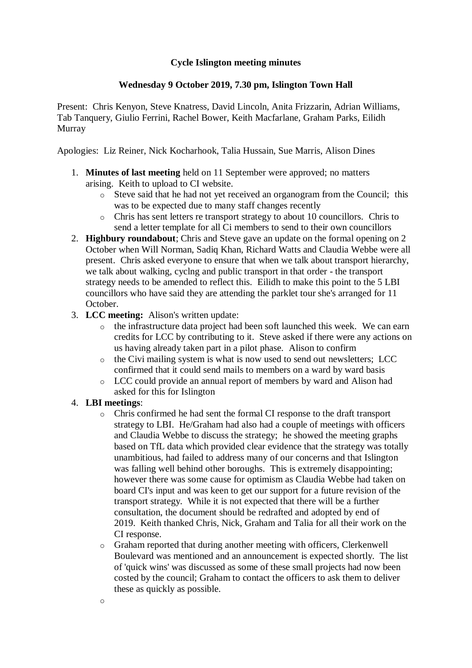## **Cycle Islington meeting minutes**

## **Wednesday 9 October 2019, 7.30 pm, Islington Town Hall**

Present: Chris Kenyon, Steve Knatress, David Lincoln, Anita Frizzarin, Adrian Williams, Tab Tanquery, Giulio Ferrini, Rachel Bower, Keith Macfarlane, Graham Parks, Eilidh Murray

Apologies: Liz Reiner, Nick Kocharhook, Talia Hussain, Sue Marris, Alison Dines

- 1. **Minutes of last meeting** held on 11 September were approved; no matters arising. Keith to upload to CI website.
	- o Steve said that he had not yet received an organogram from the Council; this was to be expected due to many staff changes recently
	- o Chris has sent letters re transport strategy to about 10 councillors. Chris to send a letter template for all Ci members to send to their own councillors
- 2. **Highbury roundabout**; Chris and Steve gave an update on the formal opening on 2 October when Will Norman, Sadiq Khan, Richard Watts and Claudia Webbe were all present. Chris asked everyone to ensure that when we talk about transport hierarchy, we talk about walking, cyclng and public transport in that order - the transport strategy needs to be amended to reflect this. Eilidh to make this point to the 5 LBI councillors who have said they are attending the parklet tour she's arranged for 11 October.
- 3. **LCC meeting:** Alison's written update:
	- o the infrastructure data project had been soft launched this week. We can earn credits for LCC by contributing to it. Steve asked if there were any actions on us having already taken part in a pilot phase. Alison to confirm
	- o the Civi mailing system is what is now used to send out newsletters; LCC confirmed that it could send mails to members on a ward by ward basis
	- o LCC could provide an annual report of members by ward and Alison had asked for this for Islington

## 4. **LBI meetings**:

- o Chris confirmed he had sent the formal CI response to the draft transport strategy to LBI. He/Graham had also had a couple of meetings with officers and Claudia Webbe to discuss the strategy; he showed the meeting graphs based on TfL data which provided clear evidence that the strategy was totally unambitious, had failed to address many of our concerns and that Islington was falling well behind other boroughs. This is extremely disappointing; however there was some cause for optimism as Claudia Webbe had taken on board CI's input and was keen to get our support for a future revision of the transport strategy. While it is not expected that there will be a further consultation, the document should be redrafted and adopted by end of 2019. Keith thanked Chris, Nick, Graham and Talia for all their work on the CI response.
- o Graham reported that during another meeting with officers, Clerkenwell Boulevard was mentioned and an announcement is expected shortly. The list of 'quick wins' was discussed as some of these small projects had now been costed by the council; Graham to contact the officers to ask them to deliver these as quickly as possible.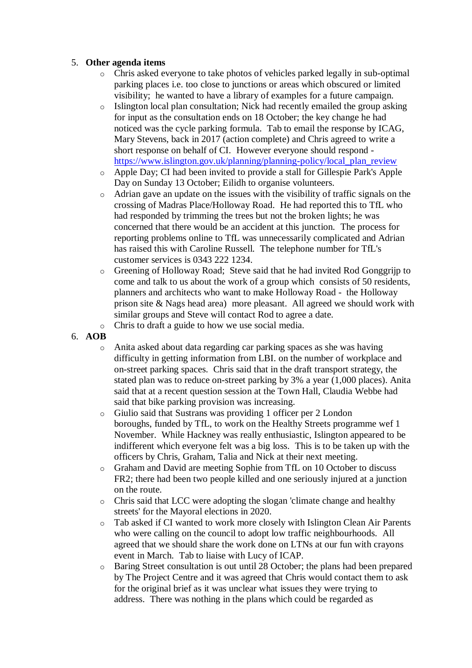## 5. **Other agenda items**

- o Chris asked everyone to take photos of vehicles parked legally in sub-optimal parking places i.e. too close to junctions or areas which obscured or limited visibility; he wanted to have a library of examples for a future campaign.
- o Islington local plan consultation; Nick had recently emailed the group asking for input as the consultation ends on 18 October; the key change he had noticed was the cycle parking formula. Tab to email the response by ICAG, Mary Stevens, back in 2017 (action complete) and Chris agreed to write a short response on behalf of CI. However everyone should respond [https://www.islington.gov.uk/planning/planning-policy/local\\_plan\\_review](https://www.islington.gov.uk/planning/planning-policy/local_plan_review)
- o Apple Day; CI had been invited to provide a stall for Gillespie Park's Apple Day on Sunday 13 October; Eilidh to organise volunteers.
- o Adrian gave an update on the issues with the visibility of traffic signals on the crossing of Madras Place/Holloway Road. He had reported this to TfL who had responded by trimming the trees but not the broken lights; he was concerned that there would be an accident at this junction. The process for reporting problems online to TfL was unnecessarily complicated and Adrian has raised this with Caroline Russell. The telephone number for TfL's customer services is 0343 222 1234.
- o Greening of Holloway Road; Steve said that he had invited Rod Gonggrijp to come and talk to us about the work of a group which consists of 50 residents, planners and architects who want to make Holloway Road - the Holloway prison site & Nags head area) more pleasant. All agreed we should work with similar groups and Steve will contact Rod to agree a date.
- o Chris to draft a guide to how we use social media.
- 6. **AOB**
	- o Anita asked about data regarding car parking spaces as she was having difficulty in getting information from LBI. on the number of workplace and on-street parking spaces. Chris said that in the draft transport strategy, the stated plan was to reduce on-street parking by 3% a year (1,000 places). Anita said that at a recent question session at the Town Hall, Claudia Webbe had said that bike parking provision was increasing.
	- o Giulio said that Sustrans was providing 1 officer per 2 London boroughs, funded by TfL, to work on the Healthy Streets programme wef 1 November. While Hackney was really enthusiastic, Islington appeared to be indifferent which everyone felt was a big loss. This is to be taken up with the officers by Chris, Graham, Talia and Nick at their next meeting.
	- o Graham and David are meeting Sophie from TfL on 10 October to discuss FR2; there had been two people killed and one seriously injured at a junction on the route.
	- $\circ$  Chris said that LCC were adopting the slogan 'climate change and healthy streets' for the Mayoral elections in 2020.
	- o Tab asked if CI wanted to work more closely with Islington Clean Air Parents who were calling on the council to adopt low traffic neighbourhoods. All agreed that we should share the work done on LTNs at our fun with crayons event in March. Tab to liaise with Lucy of ICAP.
	- o Baring Street consultation is out until 28 October; the plans had been prepared by The Project Centre and it was agreed that Chris would contact them to ask for the original brief as it was unclear what issues they were trying to address. There was nothing in the plans which could be regarded as